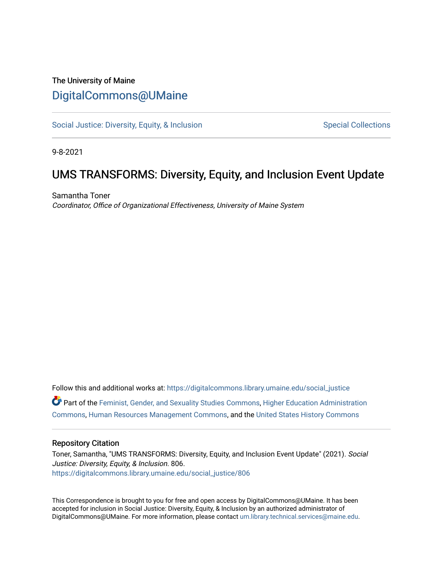## The University of Maine [DigitalCommons@UMaine](https://digitalcommons.library.umaine.edu/)

[Social Justice: Diversity, Equity, & Inclusion](https://digitalcommons.library.umaine.edu/social_justice) [Special Collections](https://digitalcommons.library.umaine.edu/specialcollections) Special Collections

9-8-2021

# UMS TRANSFORMS: Diversity, Equity, and Inclusion Event Update

Samantha Toner Coordinator, Office of Organizational Effectiveness, University of Maine System

Follow this and additional works at: [https://digitalcommons.library.umaine.edu/social\\_justice](https://digitalcommons.library.umaine.edu/social_justice?utm_source=digitalcommons.library.umaine.edu%2Fsocial_justice%2F806&utm_medium=PDF&utm_campaign=PDFCoverPages)  Part of the [Feminist, Gender, and Sexuality Studies Commons](http://network.bepress.com/hgg/discipline/559?utm_source=digitalcommons.library.umaine.edu%2Fsocial_justice%2F806&utm_medium=PDF&utm_campaign=PDFCoverPages), [Higher Education Administration](http://network.bepress.com/hgg/discipline/791?utm_source=digitalcommons.library.umaine.edu%2Fsocial_justice%2F806&utm_medium=PDF&utm_campaign=PDFCoverPages) [Commons](http://network.bepress.com/hgg/discipline/791?utm_source=digitalcommons.library.umaine.edu%2Fsocial_justice%2F806&utm_medium=PDF&utm_campaign=PDFCoverPages), [Human Resources Management Commons](http://network.bepress.com/hgg/discipline/633?utm_source=digitalcommons.library.umaine.edu%2Fsocial_justice%2F806&utm_medium=PDF&utm_campaign=PDFCoverPages), and the [United States History Commons](http://network.bepress.com/hgg/discipline/495?utm_source=digitalcommons.library.umaine.edu%2Fsocial_justice%2F806&utm_medium=PDF&utm_campaign=PDFCoverPages) 

### Repository Citation

Toner, Samantha, "UMS TRANSFORMS: Diversity, Equity, and Inclusion Event Update" (2021). Social Justice: Diversity, Equity, & Inclusion. 806. [https://digitalcommons.library.umaine.edu/social\\_justice/806](https://digitalcommons.library.umaine.edu/social_justice/806?utm_source=digitalcommons.library.umaine.edu%2Fsocial_justice%2F806&utm_medium=PDF&utm_campaign=PDFCoverPages) 

This Correspondence is brought to you for free and open access by DigitalCommons@UMaine. It has been accepted for inclusion in Social Justice: Diversity, Equity, & Inclusion by an authorized administrator of DigitalCommons@UMaine. For more information, please contact [um.library.technical.services@maine.edu](mailto:um.library.technical.services@maine.edu).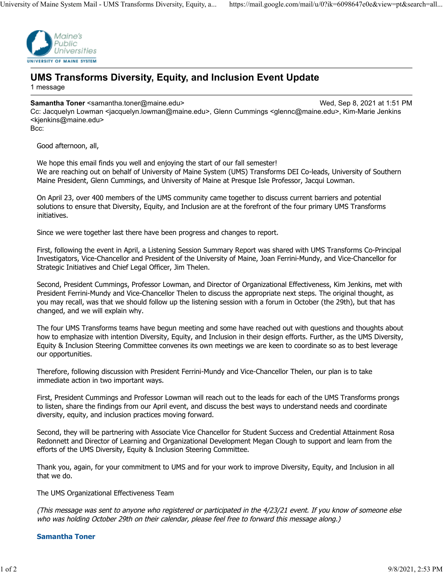

## **UMS Transforms Diversity, Equity, and Inclusion Event Update** 1 message

#### **Samantha Toner** <samantha.toner@maine.edu> Wed, Sep 8, 2021 at 1:51 PM

Cc: Jacquelyn Lowman <jacquelyn.lowman@maine.edu>, Glenn Cummings <glennc@maine.edu>, Kim-Marie Jenkins <kjenkins@maine.edu> Bcc:

Good afternoon, all,

We hope this email finds you well and enjoying the start of our fall semester! We are reaching out on behalf of University of Maine System (UMS) Transforms DEI Co-leads, University of Southern Maine President, Glenn Cummings, and University of Maine at Presque Isle Professor, Jacqui Lowman.

On April 23, over 400 members of the UMS community came together to discuss current barriers and potential solutions to ensure that Diversity, Equity, and Inclusion are at the forefront of the four primary UMS Transforms initiatives.

Since we were together last there have been progress and changes to report.

First, following the event in April, a Listening Session Summary Report was shared with UMS Transforms Co-Principal Investigators, Vice-Chancellor and President of the University of Maine, Joan Ferrini-Mundy, and Vice-Chancellor for Strategic Initiatives and Chief Legal Officer, Jim Thelen.

Second, President Cummings, Professor Lowman, and Director of Organizational Effectiveness, Kim Jenkins, met with President Ferrini-Mundy and Vice-Chancellor Thelen to discuss the appropriate next steps. The original thought, as you may recall, was that we should follow up the listening session with a forum in October (the 29th), but that has changed, and we will explain why.

The four UMS Transforms teams have begun meeting and some have reached out with questions and thoughts about how to emphasize with intention Diversity, Equity, and Inclusion in their design efforts. Further, as the UMS Diversity, Equity & Inclusion Steering Committee convenes its own meetings we are keen to coordinate so as to best leverage our opportunities.

Therefore, following discussion with President Ferrini-Mundy and Vice-Chancellor Thelen, our plan is to take immediate action in two important ways.

First, President Cummings and Professor Lowman will reach out to the leads for each of the UMS Transforms prongs to listen, share the findings from our April event, and discuss the best ways to understand needs and coordinate diversity, equity, and inclusion practices moving forward.

Second, they will be partnering with Associate Vice Chancellor for Student Success and Credential Attainment Rosa Redonnett and Director of Learning and Organizational Development Megan Clough to support and learn from the efforts of the UMS Diversity, Equity & Inclusion Steering Committee.

Thank you, again, for your commitment to UMS and for your work to improve Diversity, Equity, and Inclusion in all that we do.

The UMS Organizational Effectiveness Team

(This message was sent to anyone who registered or participated in the 4/23/21 event. If you know of someone else who was holding October 29th on their calendar, please feel free to forward this message along.)

#### **Samantha Toner**